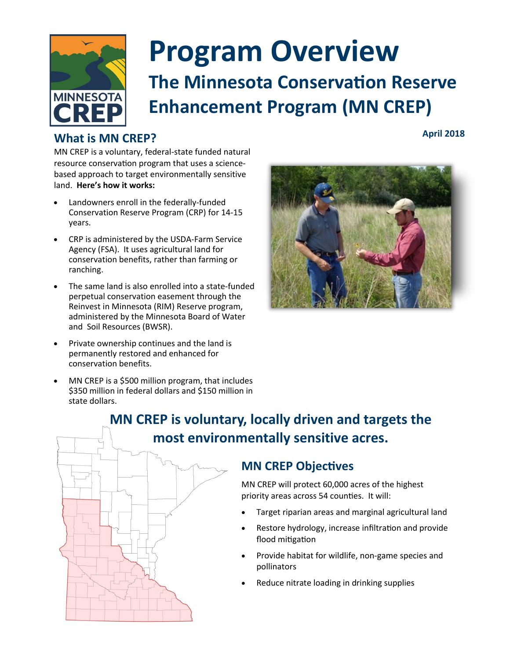

## **Program Overview The Minnesota Conservation Reserve Enhancement Program (MN CREP)**

#### **What is MN CREP?**

**April 2018**

MN CREP is a voluntary, federal-state funded natural resource conservation program that uses a sciencebased approach to target environmentally sensitive land. **Here's how it works:** 

- Landowners enroll in the federally-funded Conservation Reserve Program (CRP) for 14-15 years.
- CRP is administered by the USDA-Farm Service Agency (FSA). It uses agricultural land for conservation benefits, rather than farming or ranching.
- The same land is also enrolled into a state-funded perpetual conservation easement through the Reinvest in Minnesota (RIM) Reserve program, administered by the Minnesota Board of Water and Soil Resources (BWSR).
- Private ownership continues and the land is permanently restored and enhanced for conservation benefits.
- MN CREP is a \$500 million program, that includes \$350 million in federal dollars and \$150 million in state dollars.



### **MN CREP is voluntary, locally driven and targets the most environmentally sensitive acres.**

#### **MN CREP Objectives**

MN CREP will protect 60,000 acres of the highest priority areas across 54 counties. It will:

- Target riparian areas and marginal agricultural land
- Restore hydrology, increase infiltration and provide flood mitigation
- Provide habitat for wildlife, non-game species and pollinators
- Reduce nitrate loading in drinking supplies